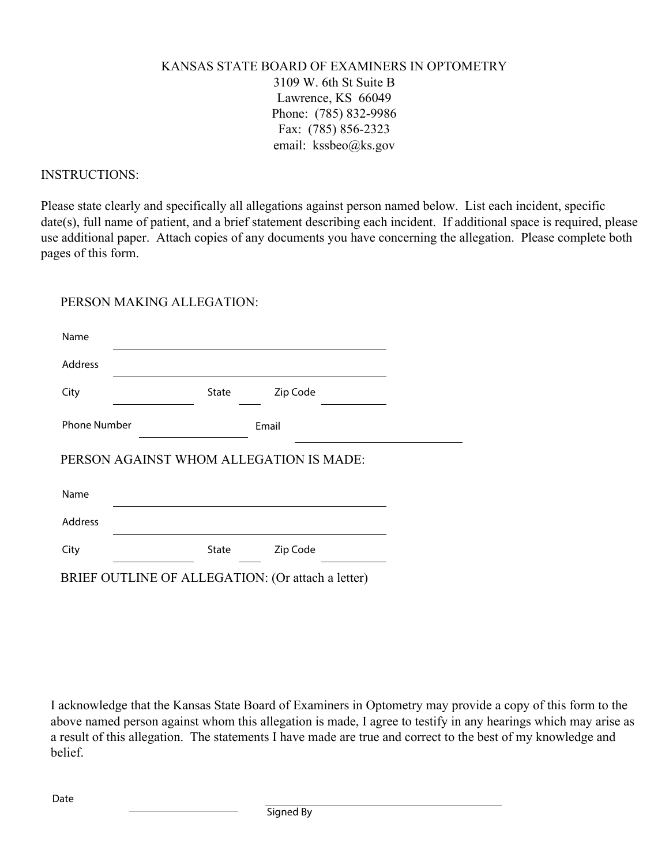# KANSAS STATE BOARD OF EXAMINERS IN OPTOMETRY 3109 W. 6th St Suite B Lawrence, KS 66049 Phone: (785) 832-9986 Fax: (785) 856-2323 email: kssbeo@ks.gov

## INSTRUCTIONS:

Please state clearly and specifically all allegations against person named below. List each incident, specific date(s), full name of patient, and a brief statement describing each incident. If additional space is required, please use additional paper. Attach copies of any documents you have concerning the allegation. Please complete both pages of this form.

### PERSON MAKING ALLEGATION:

| Name                                              |              |          |  |  |
|---------------------------------------------------|--------------|----------|--|--|
| <b>Address</b>                                    |              |          |  |  |
| City                                              | <b>State</b> | Zip Code |  |  |
| <b>Phone Number</b>                               | Email        |          |  |  |
| PERSON AGAINST WHOM ALLEGATION IS MADE:           |              |          |  |  |
| Name                                              |              |          |  |  |
| <b>Address</b>                                    |              |          |  |  |
| City                                              | <b>State</b> | Zip Code |  |  |
| BRIEF OUTLINE OF ALLEGATION: (Or attach a letter) |              |          |  |  |

I acknowledge that the Kansas State Board of Examiners in Optometry may provide a copy of this form to the above named person against whom this allegation is made, I agree to testify in any hearings which may arise as a result of this allegation. The statements I have made are true and correct to the best of my knowledge and belief.

Date